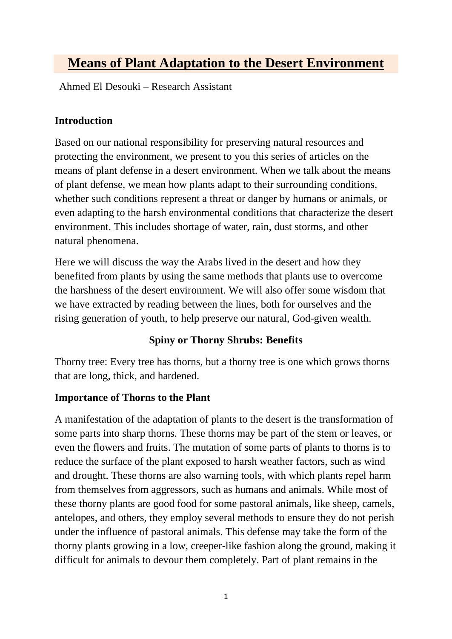# **Means of Plant Adaptation to the Desert Environment**

Ahmed El Desouki – Research Assistant

## **Introduction**

Based on our national responsibility for preserving natural resources and protecting the environment, we present to you this series of articles on the means of plant defense in a desert environment. When we talk about the means of plant defense, we mean how plants adapt to their surrounding conditions, whether such conditions represent a threat or danger by humans or animals, or even adapting to the harsh environmental conditions that characterize the desert environment. This includes shortage of water, rain, dust storms, and other natural phenomena.

Here we will discuss the way the Arabs lived in the desert and how they benefited from plants by using the same methods that plants use to overcome the harshness of the desert environment. We will also offer some wisdom that we have extracted by reading between the lines, both for ourselves and the rising generation of youth, to help preserve our natural, God-given wealth.

### **Spiny or Thorny Shrubs: Benefits**

Thorny tree: Every tree has thorns, but a thorny tree is one which grows thorns that are long, thick, and hardened.

### **Importance of Thorns to the Plant**

A manifestation of the adaptation of plants to the desert is the transformation of some parts into sharp thorns. These thorns may be part of the stem or leaves, or even the flowers and fruits. The mutation of some parts of plants to thorns is to reduce the surface of the plant exposed to harsh weather factors, such as wind and drought. These thorns are also warning tools, with which plants repel harm from themselves from aggressors, such as humans and animals. While most of these thorny plants are good food for some pastoral animals, like sheep, camels, antelopes, and others, they employ several methods to ensure they do not perish under the influence of pastoral animals. This defense may take the form of the thorny plants growing in a low, creeper-like fashion along the ground, making it difficult for animals to devour them completely. Part of plant remains in the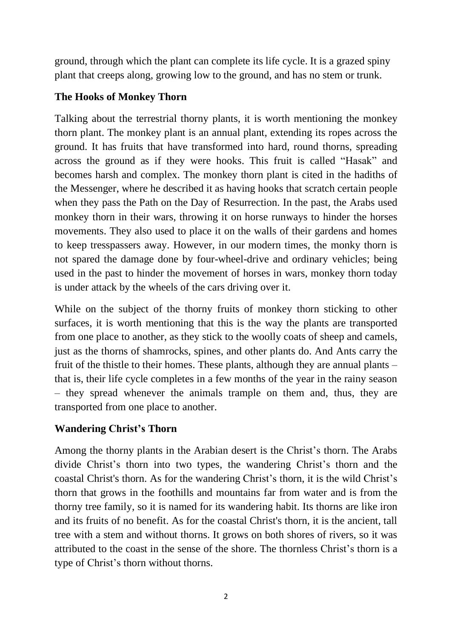ground, through which the plant can complete its life cycle. It is a grazed spiny plant that creeps along, growing low to the ground, and has no stem or trunk.

#### **The Hooks of Monkey Thorn**

Talking about the terrestrial thorny plants, it is worth mentioning the monkey thorn plant. The monkey plant is an annual plant, extending its ropes across the ground. It has fruits that have transformed into hard, round thorns, spreading across the ground as if they were hooks. This fruit is called "Hasak" and becomes harsh and complex. The monkey thorn plant is cited in the hadiths of the Messenger, where he described it as having hooks that scratch certain people when they pass the Path on the Day of Resurrection. In the past, the Arabs used monkey thorn in their wars, throwing it on horse runways to hinder the horses movements. They also used to place it on the walls of their gardens and homes to keep tresspassers away. However, in our modern times, the monky thorn is not spared the damage done by four-wheel-drive and ordinary vehicles; being used in the past to hinder the movement of horses in wars, monkey thorn today is under attack by the wheels of the cars driving over it.

While on the subject of the thorny fruits of monkey thorn sticking to other surfaces, it is worth mentioning that this is the way the plants are transported from one place to another, as they stick to the woolly coats of sheep and camels, just as the thorns of shamrocks, spines, and other plants do. And Ants carry the fruit of the thistle to their homes. These plants, although they are annual plants – that is, their life cycle completes in a few months of the year in the rainy season – they spread whenever the animals trample on them and, thus, they are transported from one place to another.

### **Wandering Christ's Thorn**

Among the thorny plants in the Arabian desert is the Christ's thorn. The Arabs divide Christ's thorn into two types, the wandering Christ's thorn and the coastal Christ's thorn. As for the wandering Christ's thorn, it is the wild Christ's thorn that grows in the foothills and mountains far from water and is from the thorny tree family, so it is named for its wandering habit. Its thorns are like iron and its fruits of no benefit. As for the coastal Christ's thorn, it is the ancient, tall tree with a stem and without thorns. It grows on both shores of rivers, so it was attributed to the coast in the sense of the shore. The thornless Christ's thorn is a type of Christ's thorn without thorns.